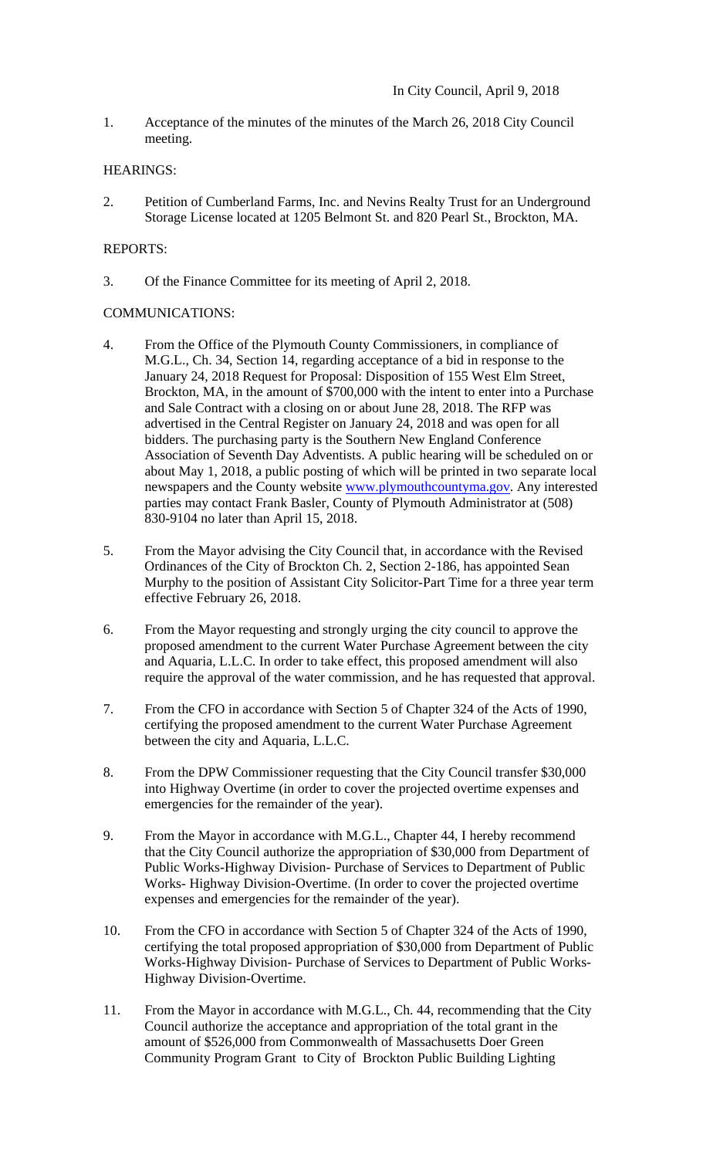1. Acceptance of the minutes of the minutes of the March 26, 2018 City Council meeting.

## HEARINGS:

2. Petition of Cumberland Farms, Inc. and Nevins Realty Trust for an Underground Storage License located at 1205 Belmont St. and 820 Pearl St., Brockton, MA.

## REPORTS:

3. Of the Finance Committee for its meeting of April 2, 2018.

# COMMUNICATIONS:

- 4. From the Office of the Plymouth County Commissioners, in compliance of M.G.L., Ch. 34, Section 14, regarding acceptance of a bid in response to the January 24, 2018 Request for Proposal: Disposition of 155 West Elm Street, Brockton, MA, in the amount of \$700,000 with the intent to enter into a Purchase and Sale Contract with a closing on or about June 28, 2018. The RFP was advertised in the Central Register on January 24, 2018 and was open for all bidders. The purchasing party is the Southern New England Conference Association of Seventh Day Adventists. A public hearing will be scheduled on or about May 1, 2018, a public posting of which will be printed in two separate local newspapers and the County website www.plymouthcountyma.gov. Any interested parties may contact Frank Basler, County of Plymouth Administrator at (508) 830-9104 no later than April 15, 2018.
- 5. From the Mayor advising the City Council that, in accordance with the Revised Ordinances of the City of Brockton Ch. 2, Section 2-186, has appointed Sean Murphy to the position of Assistant City Solicitor-Part Time for a three year term effective February 26, 2018.
- 6. From the Mayor requesting and strongly urging the city council to approve the proposed amendment to the current Water Purchase Agreement between the city and Aquaria, L.L.C. In order to take effect, this proposed amendment will also require the approval of the water commission, and he has requested that approval.
- 7. From the CFO in accordance with Section 5 of Chapter 324 of the Acts of 1990, certifying the proposed amendment to the current Water Purchase Agreement between the city and Aquaria, L.L.C.
- 8. From the DPW Commissioner requesting that the City Council transfer \$30,000 into Highway Overtime (in order to cover the projected overtime expenses and emergencies for the remainder of the year).
- 9. From the Mayor in accordance with M.G.L., Chapter 44, I hereby recommend that the City Council authorize the appropriation of \$30,000 from Department of Public Works-Highway Division- Purchase of Services to Department of Public Works- Highway Division-Overtime. (In order to cover the projected overtime expenses and emergencies for the remainder of the year).
- 10. From the CFO in accordance with Section 5 of Chapter 324 of the Acts of 1990, certifying the total proposed appropriation of \$30,000 from Department of Public Works-Highway Division- Purchase of Services to Department of Public Works-Highway Division-Overtime.
- 11. From the Mayor in accordance with M.G.L., Ch. 44, recommending that the City Council authorize the acceptance and appropriation of the total grant in the amount of \$526,000 from Commonwealth of Massachusetts Doer Green Community Program Grant to City of Brockton Public Building Lighting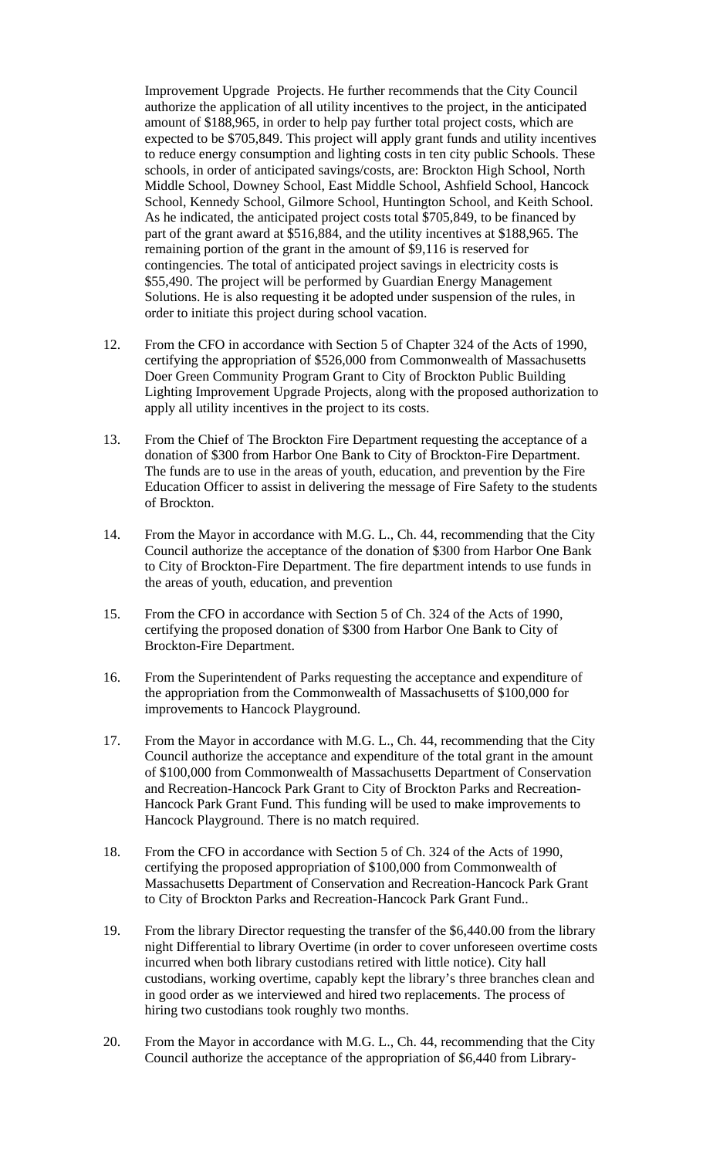Improvement Upgrade Projects. He further recommends that the City Council authorize the application of all utility incentives to the project, in the anticipated amount of \$188,965, in order to help pay further total project costs, which are expected to be \$705,849. This project will apply grant funds and utility incentives to reduce energy consumption and lighting costs in ten city public Schools. These schools, in order of anticipated savings/costs, are: Brockton High School, North Middle School, Downey School, East Middle School, Ashfield School, Hancock School, Kennedy School, Gilmore School, Huntington School, and Keith School. As he indicated, the anticipated project costs total \$705,849, to be financed by part of the grant award at \$516,884, and the utility incentives at \$188,965. The remaining portion of the grant in the amount of \$9,116 is reserved for contingencies. The total of anticipated project savings in electricity costs is \$55,490. The project will be performed by Guardian Energy Management Solutions. He is also requesting it be adopted under suspension of the rules, in order to initiate this project during school vacation.

- 12. From the CFO in accordance with Section 5 of Chapter 324 of the Acts of 1990, certifying the appropriation of \$526,000 from Commonwealth of Massachusetts Doer Green Community Program Grant to City of Brockton Public Building Lighting Improvement Upgrade Projects, along with the proposed authorization to apply all utility incentives in the project to its costs.
- 13. From the Chief of The Brockton Fire Department requesting the acceptance of a donation of \$300 from Harbor One Bank to City of Brockton-Fire Department. The funds are to use in the areas of youth, education, and prevention by the Fire Education Officer to assist in delivering the message of Fire Safety to the students of Brockton.
- 14. From the Mayor in accordance with M.G. L., Ch. 44, recommending that the City Council authorize the acceptance of the donation of \$300 from Harbor One Bank to City of Brockton-Fire Department. The fire department intends to use funds in the areas of youth, education, and prevention
- 15. From the CFO in accordance with Section 5 of Ch. 324 of the Acts of 1990, certifying the proposed donation of \$300 from Harbor One Bank to City of Brockton-Fire Department.
- 16. From the Superintendent of Parks requesting the acceptance and expenditure of the appropriation from the Commonwealth of Massachusetts of \$100,000 for improvements to Hancock Playground.
- 17. From the Mayor in accordance with M.G. L., Ch. 44, recommending that the City Council authorize the acceptance and expenditure of the total grant in the amount of \$100,000 from Commonwealth of Massachusetts Department of Conservation and Recreation-Hancock Park Grant to City of Brockton Parks and Recreation- Hancock Park Grant Fund. This funding will be used to make improvements to Hancock Playground. There is no match required.
- 18. From the CFO in accordance with Section 5 of Ch. 324 of the Acts of 1990, certifying the proposed appropriation of \$100,000 from Commonwealth of Massachusetts Department of Conservation and Recreation-Hancock Park Grant to City of Brockton Parks and Recreation-Hancock Park Grant Fund..
- 19. From the library Director requesting the transfer of the \$6,440.00 from the library night Differential to library Overtime (in order to cover unforeseen overtime costs incurred when both library custodians retired with little notice). City hall custodians, working overtime, capably kept the library's three branches clean and in good order as we interviewed and hired two replacements. The process of hiring two custodians took roughly two months.
- 20. From the Mayor in accordance with M.G. L., Ch. 44, recommending that the City Council authorize the acceptance of the appropriation of \$6,440 from Library-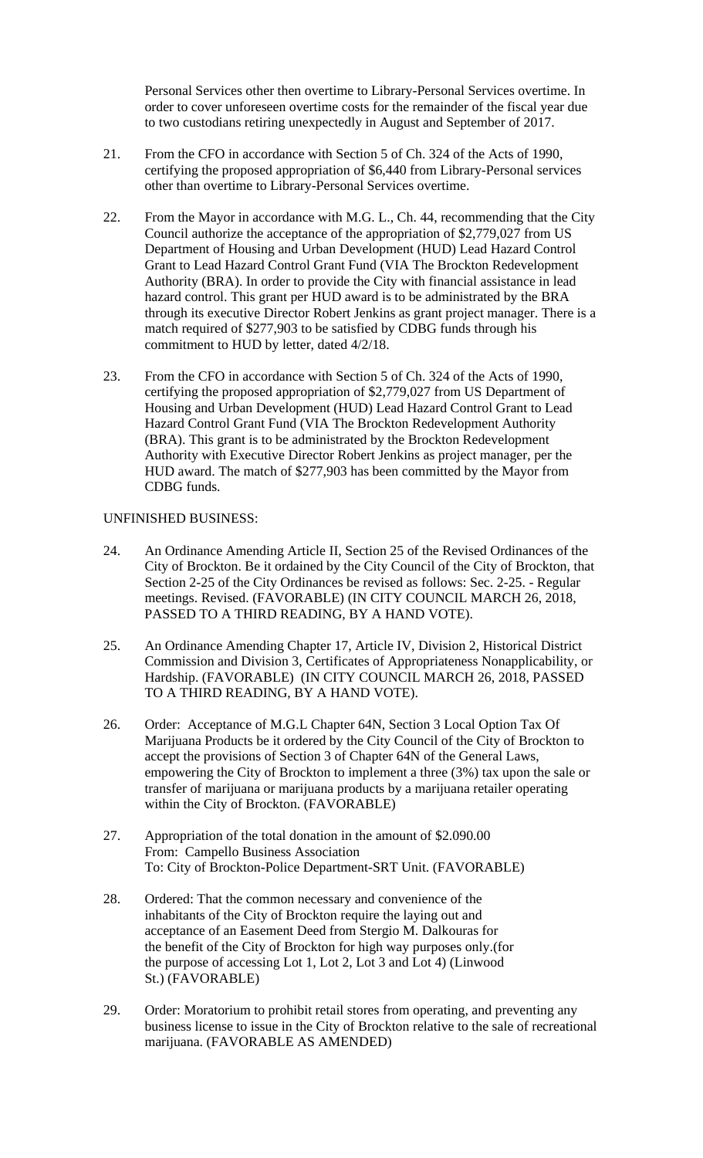Personal Services other then overtime to Library-Personal Services overtime. In order to cover unforeseen overtime costs for the remainder of the fiscal year due to two custodians retiring unexpectedly in August and September of 2017.

- 21. From the CFO in accordance with Section 5 of Ch. 324 of the Acts of 1990, certifying the proposed appropriation of \$6,440 from Library-Personal services other than overtime to Library-Personal Services overtime.
- 22. From the Mayor in accordance with M.G. L., Ch. 44, recommending that the City Council authorize the acceptance of the appropriation of \$2,779,027 from US Department of Housing and Urban Development (HUD) Lead Hazard Control Grant to Lead Hazard Control Grant Fund (VIA The Brockton Redevelopment Authority (BRA). In order to provide the City with financial assistance in lead hazard control. This grant per HUD award is to be administrated by the BRA through its executive Director Robert Jenkins as grant project manager. There is a match required of \$277,903 to be satisfied by CDBG funds through his commitment to HUD by letter, dated 4/2/18.
- 23. From the CFO in accordance with Section 5 of Ch. 324 of the Acts of 1990, certifying the proposed appropriation of \$2,779,027 from US Department of Housing and Urban Development (HUD) Lead Hazard Control Grant to Lead Hazard Control Grant Fund (VIA The Brockton Redevelopment Authority (BRA). This grant is to be administrated by the Brockton Redevelopment Authority with Executive Director Robert Jenkins as project manager, per the HUD award. The match of \$277,903 has been committed by the Mayor from CDBG funds.

### UNFINISHED BUSINESS:

- 24. An Ordinance Amending Article II, Section 25 of the Revised Ordinances of the City of Brockton. Be it ordained by the City Council of the City of Brockton, that Section 2-25 of the City Ordinances be revised as follows: Sec. 2-25. - Regular meetings. Revised. (FAVORABLE) (IN CITY COUNCIL MARCH 26, 2018, PASSED TO A THIRD READING, BY A HAND VOTE).
- 25. An Ordinance Amending Chapter 17, Article IV, Division 2, Historical District Commission and Division 3, Certificates of Appropriateness Nonapplicability, or Hardship. (FAVORABLE) (IN CITY COUNCIL MARCH 26, 2018, PASSED TO A THIRD READING, BY A HAND VOTE).
- 26. Order: Acceptance of M.G.L Chapter 64N, Section 3 Local Option Tax Of Marijuana Products be it ordered by the City Council of the City of Brockton to accept the provisions of Section 3 of Chapter 64N of the General Laws, empowering the City of Brockton to implement a three (3%) tax upon the sale or transfer of marijuana or marijuana products by a marijuana retailer operating within the City of Brockton. (FAVORABLE)
- 27. Appropriation of the total donation in the amount of \$2.090.00 From: Campello Business Association To: City of Brockton-Police Department-SRT Unit. (FAVORABLE)
- 28. Ordered: That the common necessary and convenience of the inhabitants of the City of Brockton require the laying out and acceptance of an Easement Deed from Stergio M. Dalkouras for the benefit of the City of Brockton for high way purposes only.(for the purpose of accessing Lot 1, Lot 2, Lot 3 and Lot 4) (Linwood St.) (FAVORABLE)
- 29. Order: Moratorium to prohibit retail stores from operating, and preventing any business license to issue in the City of Brockton relative to the sale of recreational marijuana. (FAVORABLE AS AMENDED)